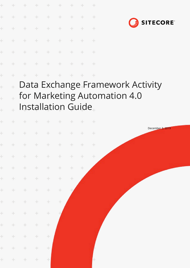| $\!+\!$              |  |  | + + + + + + + +        |  |  |
|----------------------|--|--|------------------------|--|--|
| $\!+\!$              |  |  | + + + + + + +          |  |  |
| $\frac{1}{2}$        |  |  | <b>+ + + + + + + +</b> |  |  |
| $\!+\!$              |  |  | + + + + + + +          |  |  |
| $\ddot{\phantom{0}}$ |  |  | + + + + + + + +        |  |  |
| ÷                    |  |  | * * * * * * * * *      |  |  |
|                      |  |  | .                      |  |  |

 $\ddot{}$ 

 $\ddot{}$ 

÷



Data Exchange Framework Activity  $\ddot{\pm}$ for Marketing Automation 4.0  $\frac{1}{2}$ Installation Guide

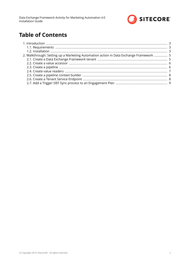

# **Table of Contents**

| 2. Walkthrough: Setting up a Marketing Automation action in Data Exchange Framework  5 |  |
|----------------------------------------------------------------------------------------|--|
|                                                                                        |  |
|                                                                                        |  |
|                                                                                        |  |
|                                                                                        |  |
|                                                                                        |  |
|                                                                                        |  |
|                                                                                        |  |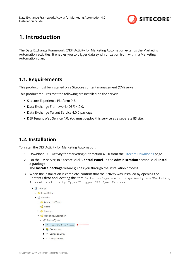

# <span id="page-2-0"></span>**1. Introduction**

The Data Exchange Framework (DEF) Activity for Marketing Automation extends the Marketing Automation activities. It enables you to trigger data synchronization from within a Marketing Automation plan.

### **1.1. Requirements**

This product must be installed on a Sitecore content management (CM) server.

This product requires that the following are installed on the server:

- Sitecore Experience Platform 9.3.
- Data Exchange Framework (DEF) 4.0.0.
- Data Exchange Tenant Service 4.0.0 package.
- DEF Tenant Web Service 4.0. You must deploy this service as a separate IIS site.

## **1.2. Installation**

To install the DEF Activity for Marketing Automation:

- 1. Download DEF Activity for Marketing Automation 4.0.0 from the [Sitecore Downloads](https://dev.sitecore.net/Downloads.aspx) page.
- 2. On the CM server, in Sitecore, click **Control Panel**. In the **Administration** section, click **Install a package**.

The **Install a package** wizard guides you through the installation process.

3. When the installation is complete, confirm that the Activity was installed by opening the Content Editor and locating the item /sitecore/system/Settings/Analytics/Marketing Automation/Activity Types/Trigger DEF Sync Process.

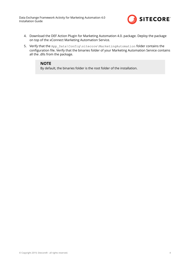Data Exchange Framework Activity for Marketing Automation 4.0 Installation Guide



- 4. Download the DEF Action Plugin for Marketing Automation 4.0. package. Deploy the package on top of the xConnect Marketing Automation Service.
- 5. Verify that the App\_Data\Config\sitecore\MarketingAutomation folder contains the configuration file. Verify that the binaries folder of your Marketing Automation Service contains all the .dlls from the package.

#### **NOTE**

By default, the binaries folder is the root folder of the installation.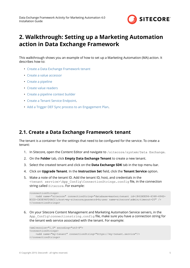

## <span id="page-4-0"></span>**2. Walkthrough: Setting up a Marketing Automation action in Data Exchange Framework**

This walkthrough shows you an example of how to set up a Marketing Automation (MA) action. It describes how to:

- Create a Data Exchange Framework tenant
- [Create a value accessor](#page-5-0)
- [Create a pipeline](#page-5-0)
- [Create value readers](#page-6-0)
- [Create a pipeline context builder](#page-7-0)
- [Create a Tenant Service Endpoint.](#page-7-0)
- [Add a Trigger DEF Sync process to an Engagement Plan](#page-8-0).

#### **2.1. Create a Data Exchange Framework tenant**

The tenant is a container for the settings that need to be configured for the service. To create a tenant:

- 1. In Sitecore, open the Content Editor and navigate to /sitecore/system/Data Exchange.
- 2. On the **Folder** tab, click **Empty Data Exchange Tenant** to create a new tenant.
- 3. Select the created tenant and click on the **Data Exchange SDK** tab in the top menu bar.
- 4. Click on **Upgrade Tenant**. In the **Instruction Set** field, click the **Tenant Service** option.
- 5. Make a note of the tenant ID. Add the tenant ID, host, and credentials in the <tenant service>\App\_Config\ConnectionStrings.config ȴle in the connection string called Sitecore. For example:

```
<connectionStrings>
    <add name="sitecore" connectionString="database=master;tenant id={841B0E94-4348-494D-
B32D-CA5E94F26ACC};host=my-sitecore;password=b;user name=sitecore\admin;timeout=20" />
</connectionStrings>
```
6. On your Sitecore Content Management and Marketing Automation Service servers, in the App Config\connectionstring.config file, make sure you have a connection string for the tenant web service associated with the tenant. For example:

```
<xmlversion="1.0" encoding="utf-8">
<connectionStrings>
     <add name="my-tenant" connectionString="https://my-tenant.service"/>
</connectionStrings>
```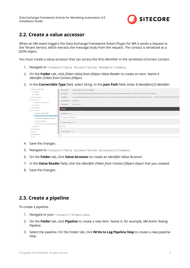

### <span id="page-5-0"></span>**2.2. Create a value accessor**

When an MA event triggers the Data Exchange Framework Action Plugin for MA it sends a request to the Tenant Service, which extracts the message body from the request. The contact is serialized as a JSON object.

You must create a value accessor that can access the first identifier in the serialized xConnect contact.

- 1. Navigate to <tenant>/Data Access/Value Readers/Common.
- 2. On the **Folder** tab, click *JToken Value from JObject Value Reader* to create an item. Name it *Identifier JToken from Contact JObject.*
- 3. In the **Convertible Type** field, select *String*. In the Json Path field, enter \$.Identifiers[1].Identifier.

| Value Accessor Sets                       | Item name:                                                                               | Identifier JToken from Contact JObject                                                                                                                                        |  |
|-------------------------------------------|------------------------------------------------------------------------------------------|-------------------------------------------------------------------------------------------------------------------------------------------------------------------------------|--|
| <b>Common</b>                             |                                                                                          |                                                                                                                                                                               |  |
| <b>Providers</b>                          | Item path:                                                                               | /sitecore/system/Data Exchange/Empty Data Exchange Tenant Branch/Data Access/Value Readers/Common/Identifier JToken from Contact JObject                                      |  |
| Value Accessors                           | Template:                                                                                | /sitecore/templates/Data Exchange/Services/Tenant Service/Framework/Data Access/Value Readers/JToken Value from JObject Value Reader - (F47D2C01-150D-41FC-89AF-B2D171497346) |  |
| <b>4</b> Common                           | <b>Created from:</b>                                                                     | [unknown]                                                                                                                                                                     |  |
| <sup>e-</sup> Identifier Value Accesor    |                                                                                          |                                                                                                                                                                               |  |
| <b>Providers</b>                          | Item owner:                                                                              | sitecore\admin                                                                                                                                                                |  |
| Value Readers                             | <b>Settings</b>                                                                          |                                                                                                                                                                               |  |
| <b>Common</b>                             |                                                                                          |                                                                                                                                                                               |  |
| e+ Constant Value Reader                  | <b>Ison Path [shared]:</b>                                                               |                                                                                                                                                                               |  |
| → Identifier JToken from Contact JObject  | \$.Identifiers[2].Identifier<br>→ JObject from HttpRequest Content<br>→ Raw Value Reader |                                                                                                                                                                               |  |
|                                           |                                                                                          |                                                                                                                                                                               |  |
|                                           |                                                                                          |                                                                                                                                                                               |  |
| → Synchronization Settings Plugin Value f | Convertible Type [shared]:                                                               |                                                                                                                                                                               |  |
| String<br><b>Providers</b>                |                                                                                          |                                                                                                                                                                               |  |
| Value Writers                             |                                                                                          |                                                                                                                                                                               |  |
| Custom Type [shared]:<br>Endpoints        |                                                                                          |                                                                                                                                                                               |  |
| <b>Pipeline Batches</b>                   |                                                                                          |                                                                                                                                                                               |  |
| <b>Pipelines</b>                          |                                                                                          |                                                                                                                                                                               |  |

- 4. Save the changes.
- 5. Navigate to <tenant>/Data Access/Value Accessors/Common.
- 6. On the Folder tab, click Value Accessor to create an *Identifier Value Accessor*.
- 7. In the Value Reader field, click the *Identifier JToken from Contact JObject* object that you created.
- 8. Save the changes.

## **2.3. Create a pipeline**

To create a pipeline:

- 1. Navigate to your <tenant>/Pipelines.
- 2. On the **Folder** tab, click **Pipeline** to create a new item. Name it, for example, *MA Action Testing Pipeline*.
- 3. Select the pipeline. On the Folder tab, click **Write to Log Pipeline Step** to create a new pipeline step.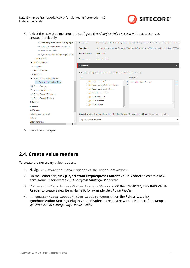

<span id="page-6-0"></span>4. Select the new pipeline step and configure the *Identifier Value Accesor* value accessor you created previously.



5. Save the changes.

### **2.4. Create value readers**

To create the necessary value readers:

- 1. Navigate to <tenant>/Data Access/Value Readers/Common/.
- 2. On the **Folder** tab, click **JObject from HttpRequest Content Value Reader** to create a new item. Name it, for example, *JObject from HttpRequest Content*.
- 3. In <tenant>/Data Access/Value Readers/Common/, on the **Folder** tab, click **Raw Value Reader** to create a new item. Name it, for example, *Raw Value Reader*.
- 4. In <tenant>/Data Access/Value Readers/Common/, on the **Folder** tab, click **Synchronization Settings Plugin Value Reader** to create a new item. Name it, for example, *Synchronization Settings Plugin Value Reader*.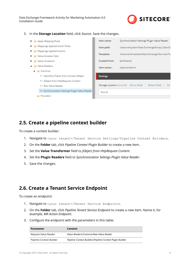<span id="page-7-0"></span>Data Exchange Framework Activity for Marketing Automation 4.0 Installation Guide



5. In the **Storage Location** field, click *Source*. Save the changes.

| Apply Mapping Rules                                        | Item name:           | Synchronization Settings Plugin Value Reader                    |
|------------------------------------------------------------|----------------------|-----------------------------------------------------------------|
| Mappings Applied Action Rules                              | Item path:           | /sitecore/system/Data Exchange/Empty Data Ex                    |
| Mappings Applied Actions                                   |                      |                                                                 |
| Value Accessor Sets                                        | Template:            | /sitecore/templates/Data Exchange/Services/Te                   |
| <b>No. 7 Value Accessors</b>                               | <b>Created from:</b> | [unknown]                                                       |
| <b>No. 7 Value Readers</b>                                 | Item owner:          | sitecore\admin                                                  |
| $\blacksquare$ Common                                      |                      |                                                                 |
| <sup>o→</sup> Identifier JToken from Contact JObject       | <b>Settings</b>      |                                                                 |
| → JObject from HttpRequest Content                         |                      |                                                                 |
| o→ Raw Value Reader                                        |                      | [Reset Field]<br>Storage Location [shared]: [Go to field]<br>Go |
| <sup>o→</sup> Synchronization Settings Plugin Value Reader | Source               |                                                                 |
| Providers                                                  |                      |                                                                 |

### **2.5. Create a pipeline context builder**

To create a context builder:

- 1. Navigate to <your tenant>/Tenant Service Settings/Pipeline Context Builders.
- 2. On the **Folder** tab, click *Pipeline Context Plugin Builder* to create a new item.
- 3. Set the **Value Transformer** field to *JObject from HttpRequest Content*.
- 4. Set the **Plugin Readers** field to *Synchronization Settings Plugin Value Reader*.
- 5. Save the changes.

#### **2.6. Create a Tenant Service Endpoint**

To create an endpoint:

- 1. Navigate to <your tenant>/Tenant Service Endpoints.
- 2. On the **Folder** tab, click *Pipeline Tenant Service Endpoint* to create a new item. Name it, for example, *MA Action Endpoint*.
- 3. Configure the endpoint with the parameters in this table:

| <b>Parameter</b>         | Content                                                   |
|--------------------------|-----------------------------------------------------------|
| Reguest Value Reader     | Value Readers/Common/Raw Value Reader                     |
| Pipeline Context Builder | Pipeline Context Builders/Pipeline Context Plugin Builder |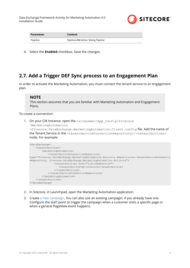

<span id="page-8-0"></span>

| Parameter | Content                              |
|-----------|--------------------------------------|
| Pipeline  | Pipelines/MA Action Testing Pipeline |

4. Select the **Enabled** checkbox. Save the changes.

## **2.7. Add a Trigger DEF Sync process to an Engagement Plan**

In order to activate the Marketing Automation, you must connect the tenant service to an engagement plan.

#### **NOTE**

This section assumes that you are familiar with Marketing Automation and Engagement Plans.

To create a connection:

1. On your CM Instance, open the <sitename>\App\_Config\Sitecore

\MarketingAutomation

\Sitecore.DataExchange.MarketingAutomation.Client.config file.Add the name of the Tenant Service in the <tenantServiceConnectionRepository>/<tenantServices> node. For example:

```
<dataExchange>
     <tenantServices>
        <marketingAutomation>
            <tenantServiceConnectionRepository 
type="Sitecore.DataExchange.MarketingAutomation.Activity.Repositories.TenantServiceConnectio
nRepository, Sitecore.DataExchange.MarketingAutomation.Activity">
                 <tenantServices hint="list:AddService">
                    <tenantService>my-sitecore</tenantService> 
                 </tenantServices>
             </tenantServiceConnectionRepository>
         </marketingAutomation>
     </tenantServices>
</dataExchange>
```
- 2. In Sitecore, in Launchpad, open the Marketing Automation application.
- 3. Create [a new campaign](https://doc.sitecore.com/users/92/sitecore-experience-platform/en/create-a-marketing-automation-campaign.html). You can also use an existing campagin, if you already have one. Configure the start point to trigger the campaign when a customer visits a specific page or when a general PageView event happens.